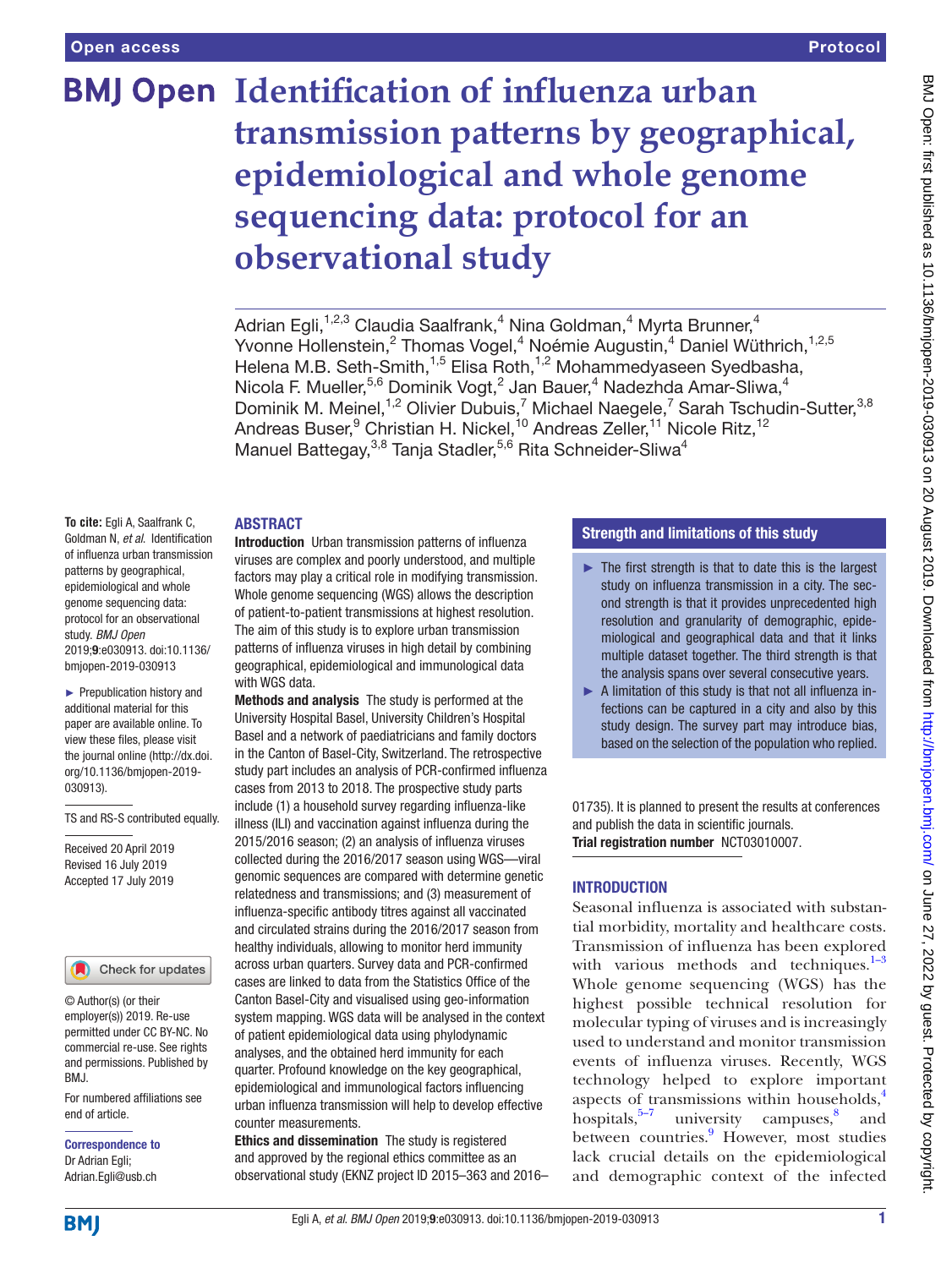# **BMJ Open Identification of influenza urban transmission patterns by geographical, epidemiological and whole genome sequencing data: protocol for an observational study**

Adrian Egli,<sup>1,2,3</sup> Claudia Saalfrank,<sup>4</sup> Nina Goldman,<sup>4</sup> Myrta Brunner,<sup>4</sup> Yvonne Hollenstein,<sup>2</sup> Thomas Vogel,<sup>4</sup> Noémie Augustin,<sup>4</sup> Daniel Wüthrich,<sup>1,2,5</sup> Helena M.B. Seth-Smith,<sup>1,5</sup> Elisa Roth,<sup>1,2</sup> Mohammedyaseen Syedbasha, Nicola F. Mueller,<sup>5,6</sup> Dominik Vogt,<sup>2</sup> Jan Bauer,<sup>4</sup> Nadezhda Amar-Sliwa,<sup>4</sup> Dominik M. Meinel,<sup>1,2</sup> Olivier Dubuis,<sup>7</sup> Michael Naegele,<sup>7</sup> Sarah Tschudin-Sutter,<sup>3,8</sup> Andreas Buser,<sup>9</sup> Christian H. Nickel,<sup>10</sup> Andreas Zeller,<sup>11</sup> Nicole Ritz,<sup>12</sup> Manuel Battegay,<sup>3,8</sup> Tanja Stadler,<sup>5,6</sup> Rita Schneider-Sliwa<sup>4</sup>

#### **ABSTRACT**

**To cite:** Egli A, Saalfrank C, Goldman N, *et al*. Identification of influenza urban transmission patterns by geographical, epidemiological and whole genome sequencing data: protocol for an observational study. *BMJ Open* 2019;9:e030913. doi:10.1136/ bmjopen-2019-030913

► Prepublication history and additional material for this paper are available online. To view these files, please visit the journal online [\(http://dx.doi.](http://dx.doi.org/10.1136/bmjopen-2019-030913) [org/10.1136/bmjopen-2019-](http://dx.doi.org/10.1136/bmjopen-2019-030913) [030913\)](http://dx.doi.org/10.1136/bmjopen-2019-030913).

TS and RS-S contributed equally.

Received 20 April 2019 Revised 16 July 2019 Accepted 17 July 2019

Check for updates

© Author(s) (or their employer(s)) 2019. Re-use permitted under CC BY-NC. No commercial re-use. See rights and permissions. Published by BMJ.

For numbered affiliations see end of article.

Correspondence to Dr Adrian Egli; Adrian.Egli@usb.ch

Introduction Urban transmission patterns of influenza viruses are complex and poorly understood, and multiple factors may play a critical role in modifying transmission. Whole genome sequencing (WGS) allows the description of patient-to-patient transmissions at highest resolution. The aim of this study is to explore urban transmission patterns of influenza viruses in high detail by combining geographical, epidemiological and immunological data with WGS data.

Methods and analysis The study is performed at the University Hospital Basel, University Children's Hospital Basel and a network of paediatricians and family doctors in the Canton of Basel-City, Switzerland. The retrospective study part includes an analysis of PCR-confirmed influenza cases from 2013 to 2018. The prospective study parts include (1) a household survey regarding influenza-like illness (ILI) and vaccination against influenza during the 2015/2016 season; (2) an analysis of influenza viruses collected during the 2016/2017 season using WGS—viral genomic sequences are compared with determine genetic relatedness and transmissions; and (3) measurement of influenza-specific antibody titres against all vaccinated and circulated strains during the 2016/2017 season from healthy individuals, allowing to monitor herd immunity across urban quarters. Survey data and PCR-confirmed cases are linked to data from the Statistics Office of the Canton Basel-City and visualised using geo-information system mapping. WGS data will be analysed in the context of patient epidemiological data using phylodynamic analyses, and the obtained herd immunity for each quarter. Profound knowledge on the key geographical, epidemiological and immunological factors influencing urban influenza transmission will help to develop effective counter measurements.

Ethics and dissemination The study is registered and approved by the regional ethics committee as an observational study (EKNZ project ID 2015–363 and 2016–

## Strength and limitations of this study

- $\blacktriangleright$  The first strength is that to date this is the largest study on influenza transmission in a city. The second strength is that it provides unprecedented high resolution and granularity of demographic, epidemiological and geographical data and that it links multiple dataset together. The third strength is that the analysis spans over several consecutive years.
- ► A limitation of this study is that not all influenza infections can be captured in a city and also by this study design. The survey part may introduce bias, based on the selection of the population who replied.

01735). It is planned to present the results at conferences and publish the data in scientific journals. Trial registration number [NCT03010007.](NCT03010007)

# **INTRODUCTION**

Seasonal influenza is associated with substantial morbidity, mortality and healthcare costs. Transmission of influenza has been explored with various methods and techniques. $1-3$ Whole genome sequencing (WGS) has the highest possible technical resolution for molecular typing of viruses and is increasingly used to understand and monitor transmission events of influenza viruses. Recently, WGS technology helped to explore important aspects of transmissions within households, $4$ hospitals, $5\frac{5}{7}$  university campuses, $8\frac{8}{7}$  $8\frac{8}{7}$  and between countries.<sup>9</sup> However, most studies lack crucial details on the epidemiological and demographic context of the infected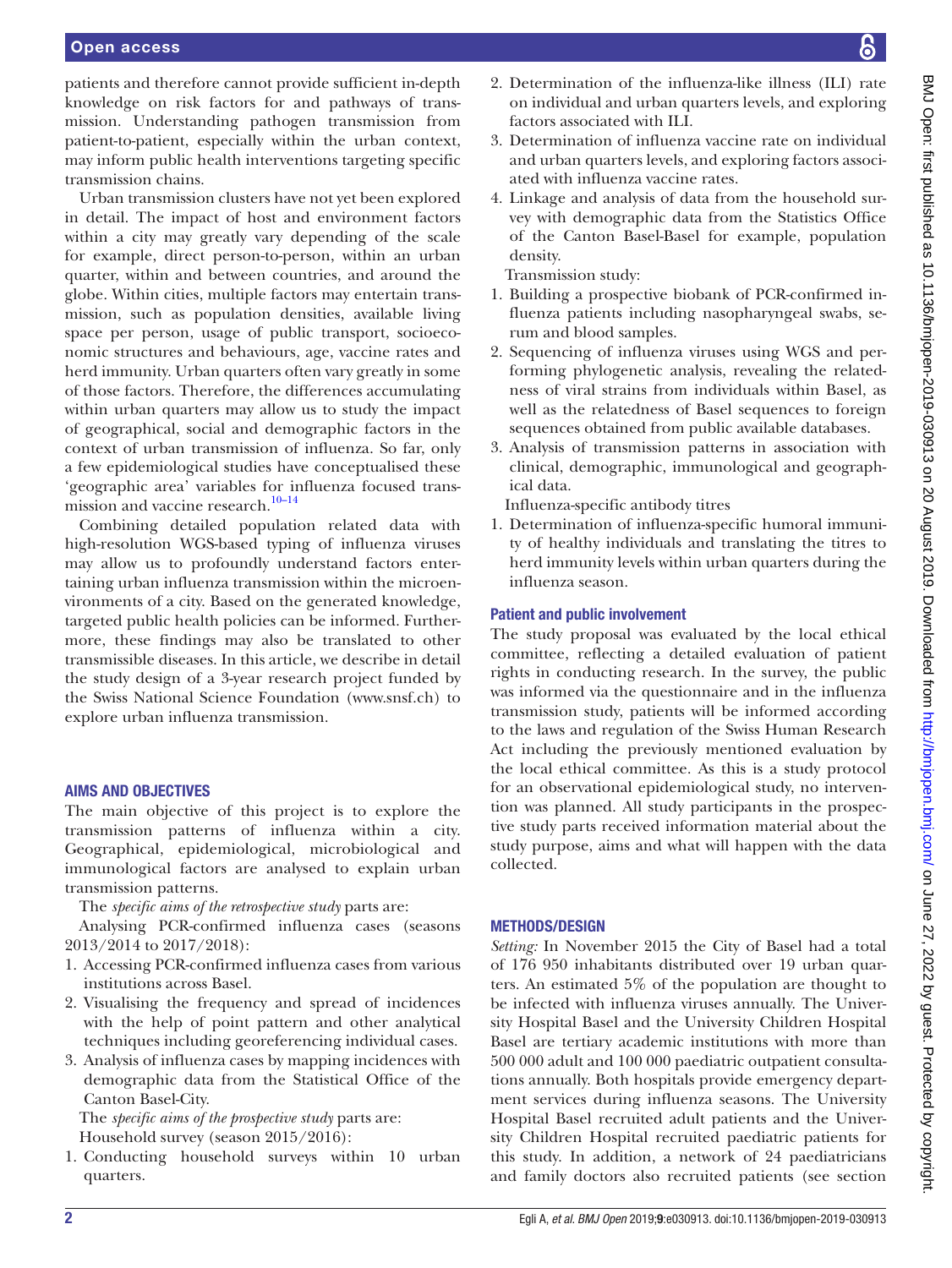#### Open access

patients and therefore cannot provide sufficient in-depth knowledge on risk factors for and pathways of transmission. Understanding pathogen transmission from patient-to-patient, especially within the urban context, may inform public health interventions targeting specific transmission chains.

Urban transmission clusters have not yet been explored in detail. The impact of host and environment factors within a city may greatly vary depending of the scale for example, direct person-to-person, within an urban quarter, within and between countries, and around the globe. Within cities, multiple factors may entertain transmission, such as population densities, available living space per person, usage of public transport, socioeconomic structures and behaviours, age, vaccine rates and herd immunity. Urban quarters often vary greatly in some of those factors. Therefore, the differences accumulating within urban quarters may allow us to study the impact of geographical, social and demographic factors in the context of urban transmission of influenza. So far, only a few epidemiological studies have conceptualised these 'geographic area' variables for influenza focused transmission and vaccine research.<sup>10–14</sup>

Combining detailed population related data with high-resolution WGS-based typing of influenza viruses may allow us to profoundly understand factors entertaining urban influenza transmission within the microenvironments of a city. Based on the generated knowledge, targeted public health policies can be informed. Furthermore, these findings may also be translated to other transmissible diseases. In this article, we describe in detail the study design of a 3-year research project funded by the Swiss National Science Foundation ([www.snsf.ch\)](www.snsf.ch) to explore urban influenza transmission.

#### Aims and objectives

The main objective of this project is to explore the transmission patterns of influenza within a city. Geographical, epidemiological, microbiological and immunological factors are analysed to explain urban transmission patterns.

The *specific aims of the retrospective study* parts are:

Analysing PCR-confirmed influenza cases (seasons 2013/2014 to 2017/2018):

- 1. Accessing PCR-confirmed influenza cases from various institutions across Basel.
- 2. Visualising the frequency and spread of incidences with the help of point pattern and other analytical techniques including georeferencing individual cases.
- 3. Analysis of influenza cases by mapping incidences with demographic data from the Statistical Office of the Canton Basel-City.

The *specific aims of the prospective study* parts are: Household survey (season 2015/2016):

1. Conducting household surveys within 10 urban quarters.

- 2. Determination of the influenza-like illness (ILI) rate on individual and urban quarters levels, and exploring factors associated with ILI.
- 3. Determination of influenza vaccine rate on individual and urban quarters levels, and exploring factors associated with influenza vaccine rates.
- 4. Linkage and analysis of data from the household survey with demographic data from the Statistics Office of the Canton Basel-Basel for example, population density.

Transmission study:

- 1. Building a prospective biobank of PCR-confirmed influenza patients including nasopharyngeal swabs, serum and blood samples.
- 2. Sequencing of influenza viruses using WGS and performing phylogenetic analysis, revealing the relatedness of viral strains from individuals within Basel, as well as the relatedness of Basel sequences to foreign sequences obtained from public available databases.
- 3. Analysis of transmission patterns in association with clinical, demographic, immunological and geographical data.

Influenza-specific antibody titres

1. Determination of influenza-specific humoral immunity of healthy individuals and translating the titres to herd immunity levels within urban quarters during the influenza season.

#### Patient and public involvement

The study proposal was evaluated by the local ethical committee, reflecting a detailed evaluation of patient rights in conducting research. In the survey, the public was informed via the questionnaire and in the influenza transmission study, patients will be informed according to the laws and regulation of the Swiss Human Research Act including the previously mentioned evaluation by the local ethical committee. As this is a study protocol for an observational epidemiological study, no intervention was planned. All study participants in the prospective study parts received information material about the study purpose, aims and what will happen with the data collected.

# Methods/design

*Setting:* In November 2015 the City of Basel had a total of 176 950 inhabitants distributed over 19 urban quarters. An estimated 5% of the population are thought to be infected with influenza viruses annually. The University Hospital Basel and the University Children Hospital Basel are tertiary academic institutions with more than 500 000 adult and 100 000 paediatric outpatient consultations annually. Both hospitals provide emergency department services during influenza seasons. The University Hospital Basel recruited adult patients and the University Children Hospital recruited paediatric patients for this study. In addition, a network of 24 paediatricians and family doctors also recruited patients (see section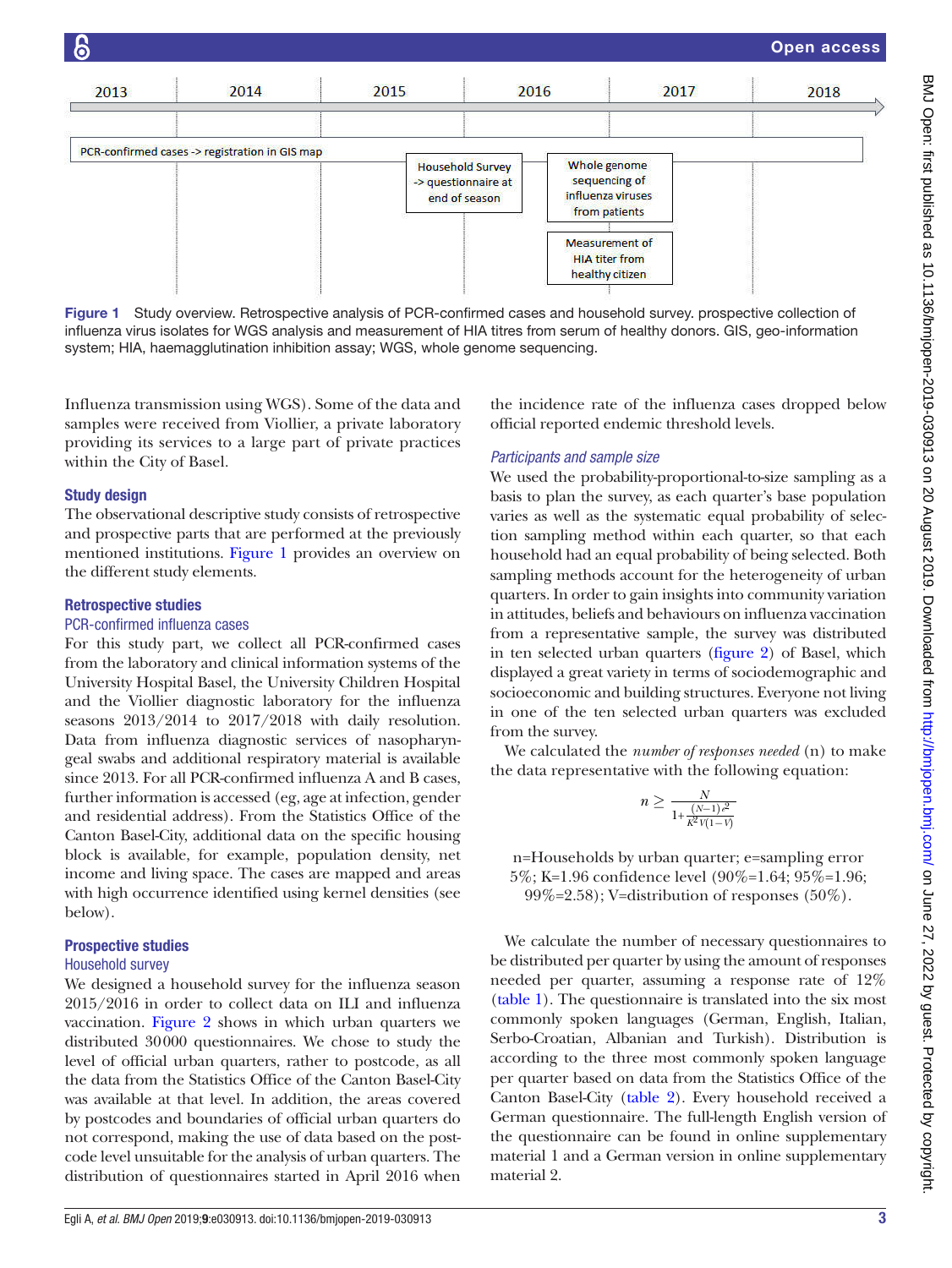

<span id="page-2-0"></span>Figure 1 Study overview. Retrospective analysis of PCR-confirmed cases and household survey. prospective collection of influenza virus isolates for WGS analysis and measurement of HIA titres from serum of healthy donors. GIS, geo-information system; HIA, haemagglutination inhibition assay; WGS, whole genome sequencing.

Influenza transmission using WGS). Some of the data and samples were received from Viollier, a private laboratory providing its services to a large part of private practices within the City of Basel.

#### Study design

The observational descriptive study consists of retrospective and prospective parts that are performed at the previously mentioned institutions. [Figure](#page-2-0) 1 provides an overview on the different study elements.

#### Retrospective studies

#### PCR-confirmed influenza cases

For this study part, we collect all PCR-confirmed cases from the laboratory and clinical information systems of the University Hospital Basel, the University Children Hospital and the Viollier diagnostic laboratory for the influenza seasons 2013/2014 to 2017/2018 with daily resolution. Data from influenza diagnostic services of nasopharyngeal swabs and additional respiratory material is available since 2013. For all PCR-confirmed influenza A and B cases, further information is accessed (eg, age at infection, gender and residential address). From the Statistics Office of the Canton Basel-City, additional data on the specific housing block is available, for example, population density, net income and living space. The cases are mapped and areas with high occurrence identified using kernel densities (see below).

#### Prospective studies

#### Household survey

We designed a household survey for the influenza season 2015/2016 in order to collect data on ILI and influenza vaccination. [Figure](#page-3-0) 2 shows in which urban quarters we distributed 30000 questionnaires. We chose to study the level of official urban quarters, rather to postcode, as all the data from the Statistics Office of the Canton Basel-City was available at that level. In addition, the areas covered by postcodes and boundaries of official urban quarters do not correspond, making the use of data based on the postcode level unsuitable for the analysis of urban quarters. The distribution of questionnaires started in April 2016 when

the incidence rate of the influenza cases dropped below official reported endemic threshold levels.

#### *Participants and sample size*

We used the probability-proportional-to-size sampling as a basis to plan the survey, as each quarter's base population varies as well as the systematic equal probability of selection sampling method within each quarter, so that each household had an equal probability of being selected. Both sampling methods account for the heterogeneity of urban quarters. In order to gain insights into community variation in attitudes, beliefs and behaviours on influenza vaccination from a representative sample, the survey was distributed in ten selected urban quarters ([figure](#page-3-0) 2) of Basel, which displayed a great variety in terms of sociodemographic and socioeconomic and building structures. Everyone not living in one of the ten selected urban quarters was excluded from the survey.

We calculated the *number of responses needed* (n) to make the data representative with the following equation:

$$
n \ge \frac{N}{1 + \frac{(N-1)e^2}{K^2 V(1-V)}}
$$

n=Households by urban quarter; e=sampling error 5%; K=1.96 confidence level (90%=1.64; 95%=1.96;  $99\% = 2.58$ ; V=distribution of responses (50%).

We calculate the number of necessary questionnaires to be distributed per quarter by using the amount of responses needed per quarter, assuming a response rate of 12% [\(table](#page-4-0) 1). The questionnaire is translated into the six most commonly spoken languages (German, English, Italian, Serbo-Croatian, Albanian and Turkish). Distribution is according to the three most commonly spoken language per quarter based on data from the Statistics Office of the Canton Basel-City [\(table](#page-5-0) 2). Every household received a German questionnaire. The full-length English version of the questionnaire can be found in [online supplementary](https://dx.doi.org/10.1136/bmjopen-2019-030913)  [material 1](https://dx.doi.org/10.1136/bmjopen-2019-030913) and a German version in [online supplementary](https://dx.doi.org/10.1136/bmjopen-2019-030913)  [material 2](https://dx.doi.org/10.1136/bmjopen-2019-030913).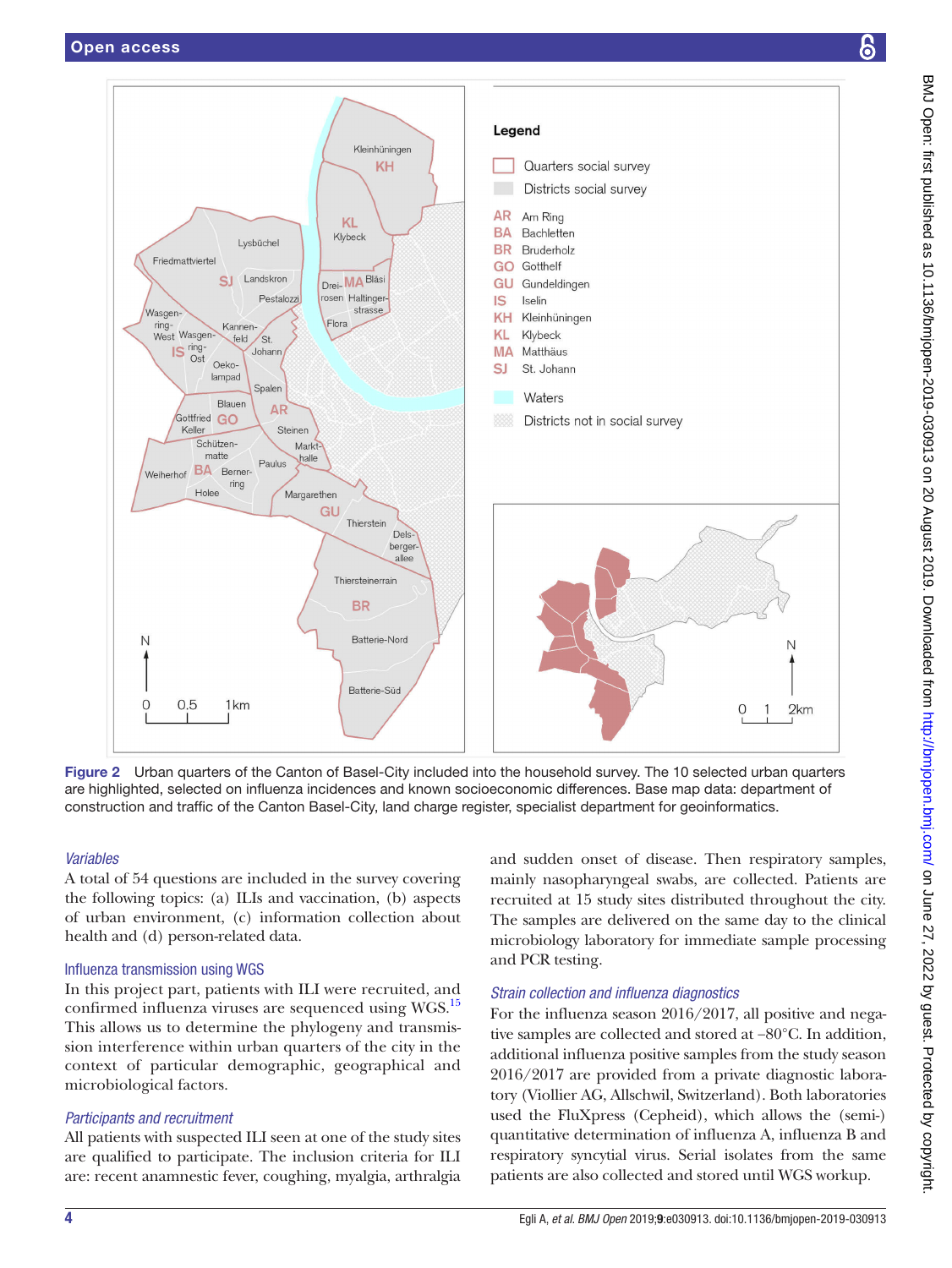

<span id="page-3-0"></span>Figure 2 Urban quarters of the Canton of Basel-City included into the household survey. The 10 selected urban quarters are highlighted, selected on influenza incidences and known socioeconomic differences. Base map data: department of construction and traffic of the Canton Basel-City, land charge register, specialist department for geoinformatics.

# *Variables*

A total of 54 questions are included in the survey covering the following topics: (a) ILIs and vaccination, (b) aspects of urban environment, (c) information collection about health and (d) person-related data.

# Influenza transmission using WGS

In this project part, patients with ILI were recruited, and confirmed influenza viruses are sequenced using WGS.<sup>15</sup> This allows us to determine the phylogeny and transmission interference within urban quarters of the city in the context of particular demographic, geographical and microbiological factors.

# *Participants and recruitment*

All patients with suspected ILI seen at one of the study sites are qualified to participate. The inclusion criteria for ILI are: recent anamnestic fever, coughing, myalgia, arthralgia

and sudden onset of disease. Then respiratory samples, mainly nasopharyngeal swabs, are collected. Patients are recruited at 15 study sites distributed throughout the city. The samples are delivered on the same day to the clinical microbiology laboratory for immediate sample processing and PCR testing.

# *Strain collection and influenza diagnostics*

For the influenza season 2016/2017, all positive and negative samples are collected and stored at −80°C. In addition, additional influenza positive samples from the study season 2016/2017 are provided from a private diagnostic laboratory (Viollier AG, Allschwil, Switzerland). Both laboratories used the FluXpress (Cepheid), which allows the (semi-) quantitative determination of influenza A, influenza B and respiratory syncytial virus. Serial isolates from the same patients are also collected and stored until WGS workup.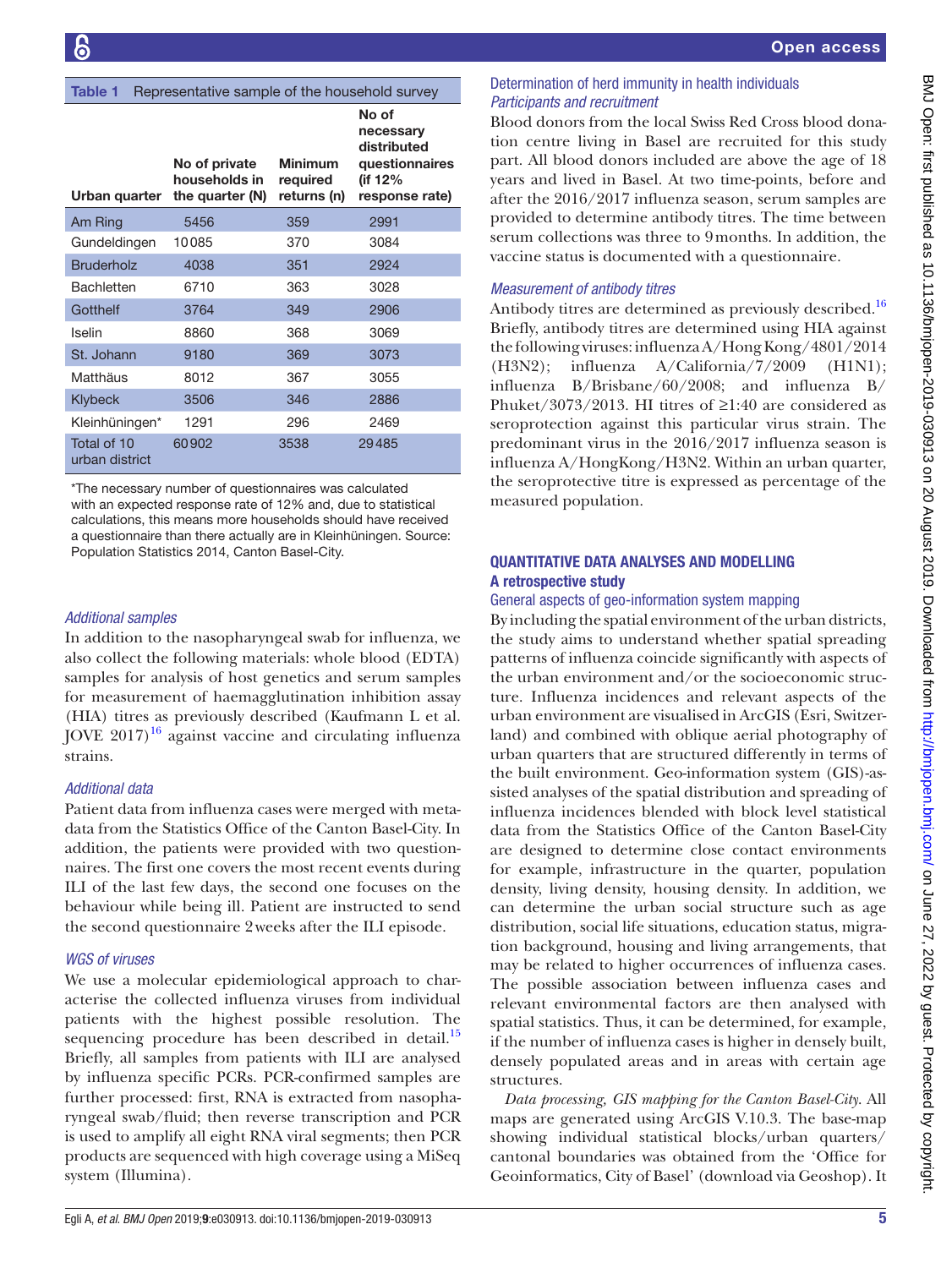#### <span id="page-4-0"></span>Table 1 Representative sample of the household survey

| Urban quarter                 | No of private<br>households in<br>the quarter (N) | <b>Minimum</b><br>required<br>returns (n) | No of<br>necessary<br>distributed<br>questionnaires<br>(if 12%<br>response rate) |
|-------------------------------|---------------------------------------------------|-------------------------------------------|----------------------------------------------------------------------------------|
| Am Ring                       | 5456                                              | 359                                       | 2991                                                                             |
| Gundeldingen                  | 10085                                             | 370                                       | 3084                                                                             |
| <b>Bruderholz</b>             | 4038                                              | 351                                       | 2924                                                                             |
| <b>Bachletten</b>             | 6710                                              | 363                                       | 3028                                                                             |
| Gotthelf                      | 3764                                              | 349                                       | 2906                                                                             |
| Iselin                        | 8860                                              | 368                                       | 3069                                                                             |
| St. Johann                    | 9180                                              | 369                                       | 3073                                                                             |
| Matthäus                      | 8012                                              | 367                                       | 3055                                                                             |
| <b>Klybeck</b>                | 3506                                              | 346                                       | 2886                                                                             |
| Kleinhüningen*                | 1291                                              | 296                                       | 2469                                                                             |
| Total of 10<br>urban district | 60902                                             | 3538                                      | 29485                                                                            |

\*The necessary number of questionnaires was calculated with an expected response rate of 12% and, due to statistical calculations, this means more households should have received a questionnaire than there actually are in Kleinhüningen. Source: Population Statistics 2014, Canton Basel-City.

# *Additional samples*

In addition to the nasopharyngeal swab for influenza, we also collect the following materials: whole blood (EDTA) samples for analysis of host genetics and serum samples for measurement of haemagglutination inhibition assay (HIA) titres as previously described (Kaufmann L et al. JOVE  $2017$ <sup>[16](#page-9-6)</sup> against vaccine and circulating influenza strains.

#### *Additional data*

Patient data from influenza cases were merged with metadata from the Statistics Office of the Canton Basel-City. In addition, the patients were provided with two questionnaires. The first one covers the most recent events during ILI of the last few days, the second one focuses on the behaviour while being ill. Patient are instructed to send the second questionnaire 2weeks after the ILI episode.

#### *WGS of viruses*

We use a molecular epidemiological approach to characterise the collected influenza viruses from individual patients with the highest possible resolution. The sequencing procedure has been described in detail.<sup>15</sup> Briefly, all samples from patients with ILI are analysed by influenza specific PCRs. PCR-confirmed samples are further processed: first, RNA is extracted from nasopharyngeal swab/fluid; then reverse transcription and PCR is used to amplify all eight RNA viral segments; then PCR products are sequenced with high coverage using a MiSeq system (Illumina).

## Determination of herd immunity in health individuals *Participants and recruitment*

Blood donors from the local Swiss Red Cross blood donation centre living in Basel are recruited for this study part. All blood donors included are above the age of 18 years and lived in Basel. At two time-points, before and after the 2016/2017 influenza season, serum samples are provided to determine antibody titres. The time between serum collections was three to 9months. In addition, the vaccine status is documented with a questionnaire.

#### *Measurement of antibody titres*

Antibody titres are determined as previously described.<sup>[16](#page-9-6)</sup> Briefly, antibody titres are determined using HIA against the following viruses: influenza A/Hong Kong/4801/2014 (H3N2); influenza A/California/7/2009 (H1N1); influenza B/Brisbane/60/2008; and influenza B/ Phuket/3073/2013. HI titres of  $\geq$ 1:40 are considered as seroprotection against this particular virus strain. The predominant virus in the 2016/2017 influenza season is influenza A/HongKong/H3N2. Within an urban quarter, the seroprotective titre is expressed as percentage of the measured population.

## Quantitative data analyses and modelling A retrospective study

## General aspects of geo-information system mapping

By including the spatial environment of the urban districts, the study aims to understand whether spatial spreading patterns of influenza coincide significantly with aspects of the urban environment and/or the socioeconomic structure. Influenza incidences and relevant aspects of the urban environment are visualised in ArcGIS (Esri, Switzerland) and combined with oblique aerial photography of urban quarters that are structured differently in terms of the built environment. Geo-information system (GIS)-assisted analyses of the spatial distribution and spreading of influenza incidences blended with block level statistical data from the Statistics Office of the Canton Basel-City are designed to determine close contact environments for example, infrastructure in the quarter, population density, living density, housing density. In addition, we can determine the urban social structure such as age distribution, social life situations, education status, migration background, housing and living arrangements, that may be related to higher occurrences of influenza cases. The possible association between influenza cases and relevant environmental factors are then analysed with spatial statistics. Thus, it can be determined, for example, if the number of influenza cases is higher in densely built, densely populated areas and in areas with certain age structures.

*Data processing, GIS mapping for the Canton Basel-City*. All maps are generated using ArcGIS V.10.3. The base-map showing individual statistical blocks/urban quarters/ cantonal boundaries was obtained from the 'Office for Geoinformatics, City of Basel' (download via Geoshop). It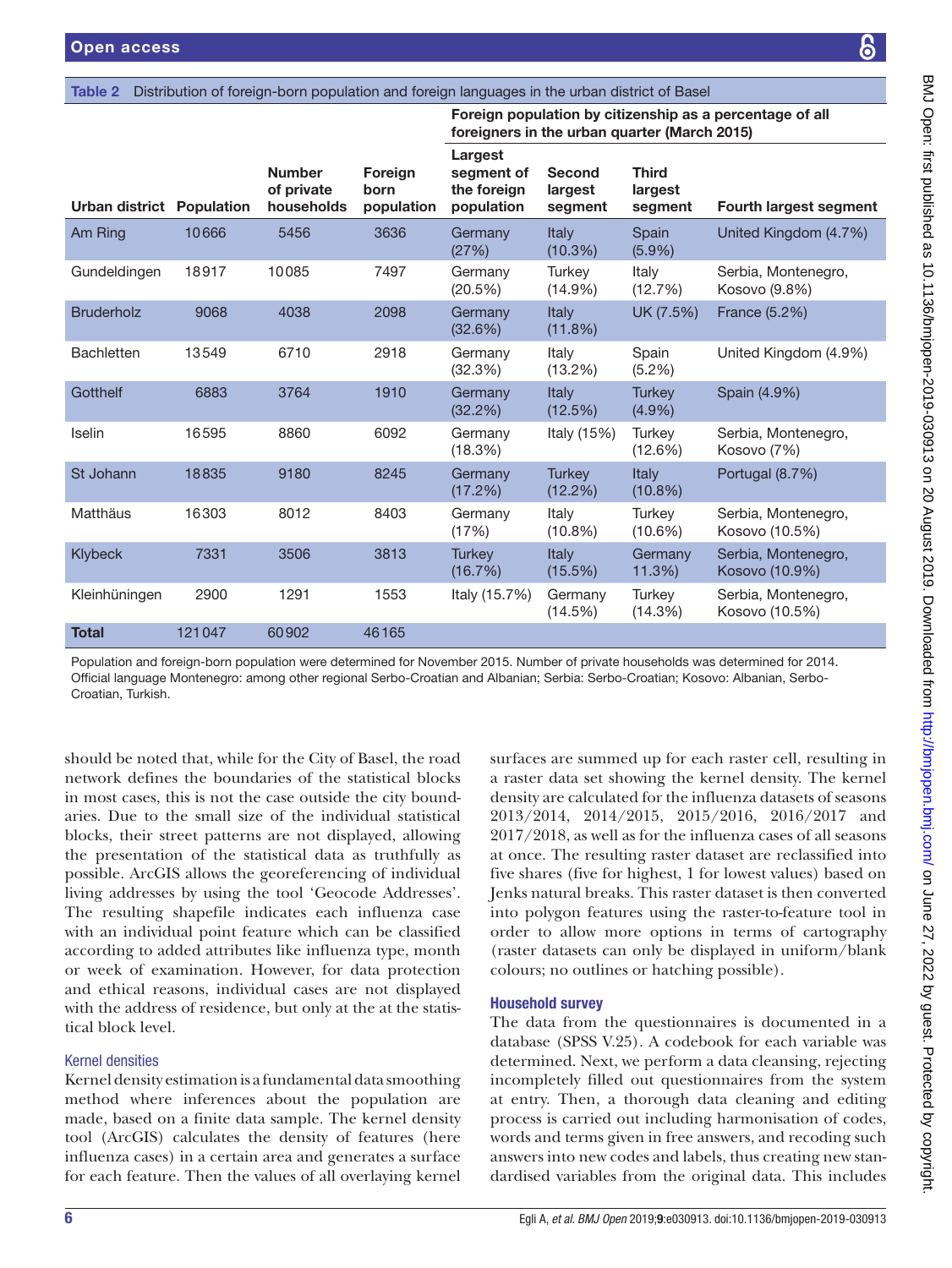|                                  |        |                                           |                               | foreigners in the urban quarter (March 2015)       |                              |                                    | Foreign population by citizenship as a percentage of all |
|----------------------------------|--------|-------------------------------------------|-------------------------------|----------------------------------------------------|------------------------------|------------------------------------|----------------------------------------------------------|
| <b>Urban district Population</b> |        | <b>Number</b><br>of private<br>households | Foreign<br>born<br>population | Largest<br>segment of<br>the foreign<br>population | Second<br>largest<br>segment | <b>Third</b><br>largest<br>segment | Fourth largest segment                                   |
| Am Ring                          | 10666  | 5456                                      | 3636                          | Germany<br>(27%)                                   | Italy<br>$(10.3\%)$          | Spain<br>$(5.9\%)$                 | United Kingdom (4.7%)                                    |
| Gundeldingen                     | 18917  | 10085                                     | 7497                          | Germany<br>(20.5%)                                 | <b>Turkey</b><br>$(14.9\%)$  | Italy<br>(12.7%)                   | Serbia, Montenegro,<br>Kosovo (9.8%)                     |
| <b>Bruderholz</b>                | 9068   | 4038                                      | 2098                          | Germany<br>(32.6%)                                 | Italy<br>(11.8%)             | UK (7.5%)                          | France (5.2%)                                            |
| <b>Bachletten</b>                | 13549  | 6710                                      | 2918                          | Germany<br>(32.3%)                                 | Italy<br>(13.2%)             | Spain<br>$(5.2\%)$                 | United Kingdom (4.9%)                                    |
| Gotthelf                         | 6883   | 3764                                      | 1910                          | Germany<br>(32.2%)                                 | Italy<br>(12.5%)             | <b>Turkey</b><br>$(4.9\%)$         | Spain (4.9%)                                             |
| Iselin                           | 16595  | 8860                                      | 6092                          | Germany<br>(18.3%)                                 | Italy (15%)                  | Turkey<br>(12.6%)                  | Serbia, Montenegro,<br>Kosovo (7%)                       |
| St Johann                        | 18835  | 9180                                      | 8245                          | Germany<br>(17.2%)                                 | <b>Turkey</b><br>(12.2%)     | Italy<br>$(10.8\%)$                | Portugal (8.7%)                                          |
| Matthäus                         | 16303  | 8012                                      | 8403                          | Germany<br>(17%)                                   | Italy<br>$(10.8\%)$          | Turkey<br>$(10.6\%)$               | Serbia, Montenegro,<br>Kosovo (10.5%)                    |
| Klybeck                          | 7331   | 3506                                      | 3813                          | <b>Turkey</b><br>(16.7%)                           | <b>Italy</b><br>(15.5%)      | Germany<br>11.3%                   | Serbia, Montenegro,<br>Kosovo (10.9%)                    |
| Kleinhüningen                    | 2900   | 1291                                      | 1553                          | Italy (15.7%)                                      | Germany<br>(14.5%)           | Turkey<br>(14.3%)                  | Serbia, Montenegro,<br>Kosovo (10.5%)                    |
| <b>Total</b>                     | 121047 | 60902                                     | 46165                         |                                                    |                              |                                    |                                                          |

<span id="page-5-0"></span>Table 2 Distribution of foreign-born population and foreign languages in the urban district of Basel

Population and foreign-born population were determined for November 2015. Number of private households was determined for 2014. Official language Montenegro: among other regional Serbo-Croatian and Albanian; Serbia: Serbo-Croatian; Kosovo: Albanian, Serbo-Croatian, Turkish.

should be noted that, while for the City of Basel, the road network defines the boundaries of the statistical blocks in most cases, this is not the case outside the city boundaries. Due to the small size of the individual statistical blocks, their street patterns are not displayed, allowing the presentation of the statistical data as truthfully as possible. ArcGIS allows the georeferencing of individual living addresses by using the tool 'Geocode Addresses'. The resulting shapefile indicates each influenza case with an individual point feature which can be classified according to added attributes like influenza type, month or week of examination. However, for data protection and ethical reasons, individual cases are not displayed with the address of residence, but only at the at the statistical block level.

# Kernel densities

Kernel density estimation is a fundamental data smoothing method where inferences about the population are made, based on a finite data sample. The kernel density tool (ArcGIS) calculates the density of features (here influenza cases) in a certain area and generates a surface for each feature. Then the values of all overlaying kernel

surfaces are summed up for each raster cell, resulting in a raster data set showing the kernel density. The kernel density are calculated for the influenza datasets of seasons 2013/2014, 2014/2015, 2015/2016, 2016/2017 and 2017/2018, as well as for the influenza cases of all seasons at once. The resulting raster dataset are reclassified into five shares (five for highest, 1 for lowest values) based on Jenks natural breaks. This raster dataset is then converted into polygon features using the raster-to-feature tool in order to allow more options in terms of cartography (raster datasets can only be displayed in uniform/blank colours; no outlines or hatching possible).

# Household survey

The data from the questionnaires is documented in a database (SPSS V.25). A codebook for each variable was determined. Next, we perform a data cleansing, rejecting incompletely filled out questionnaires from the system at entry. Then, a thorough data cleaning and editing process is carried out including harmonisation of codes, words and terms given in free answers, and recoding such answers into new codes and labels, thus creating new standardised variables from the original data. This includes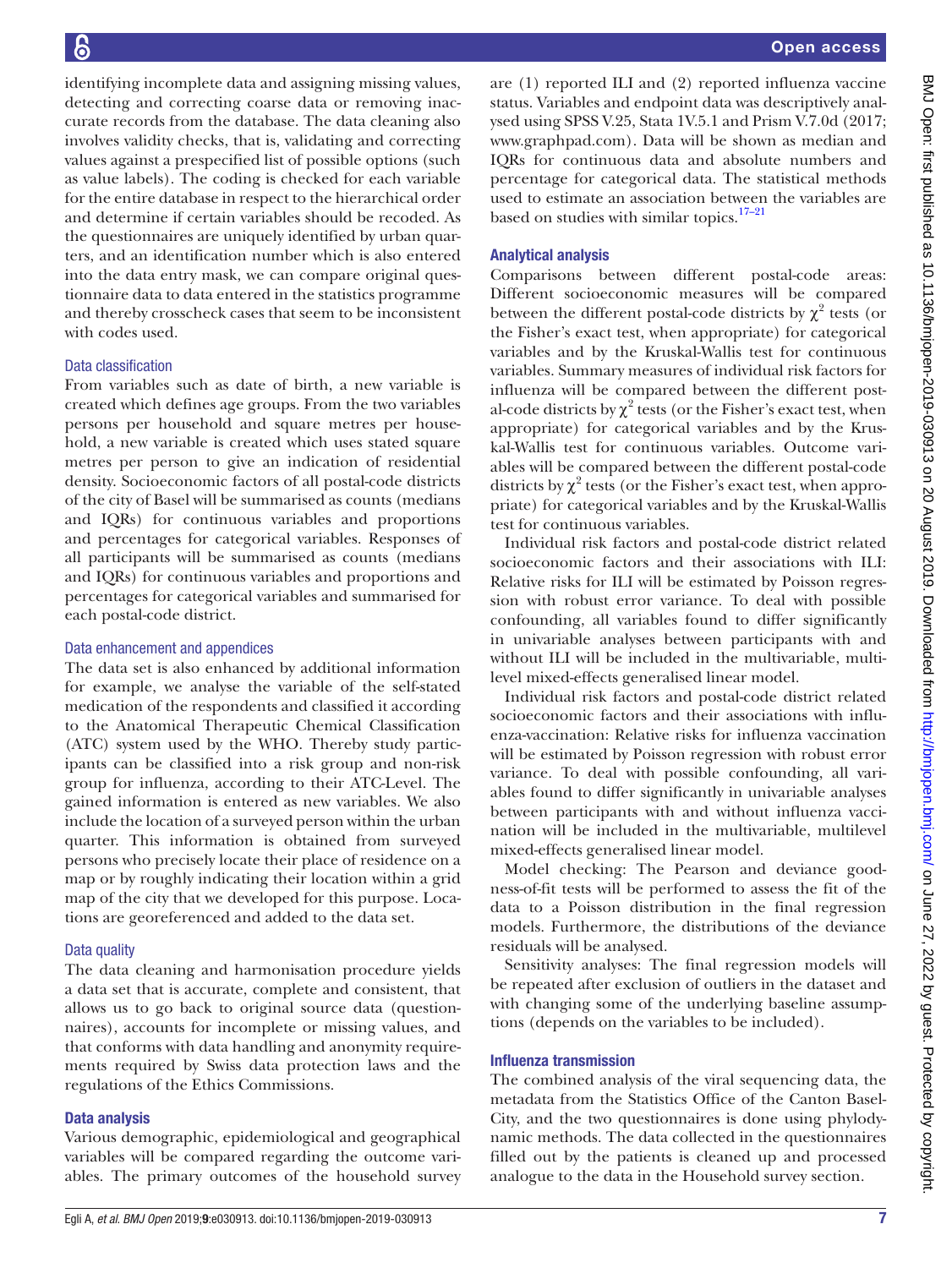identifying incomplete data and assigning missing values, detecting and correcting coarse data or removing inaccurate records from the database. The data cleaning also involves validity checks, that is, validating and correcting values against a prespecified list of possible options (such as value labels). The coding is checked for each variable for the entire database in respect to the hierarchical order and determine if certain variables should be recoded. As the questionnaires are uniquely identified by urban quarters, and an identification number which is also entered into the data entry mask, we can compare original questionnaire data to data entered in the statistics programme and thereby crosscheck cases that seem to be inconsistent with codes used.

## Data classification

From variables such as date of birth, a new variable is created which defines age groups. From the two variables persons per household and square metres per household, a new variable is created which uses stated square metres per person to give an indication of residential density. Socioeconomic factors of all postal-code districts of the city of Basel will be summarised as counts (medians and IQRs) for continuous variables and proportions and percentages for categorical variables. Responses of all participants will be summarised as counts (medians and IQRs) for continuous variables and proportions and percentages for categorical variables and summarised for each postal-code district.

#### Data enhancement and appendices

The data set is also enhanced by additional information for example, we analyse the variable of the self-stated medication of the respondents and classified it according to the Anatomical Therapeutic Chemical Classification (ATC) system used by the WHO. Thereby study participants can be classified into a risk group and non-risk group for influenza, according to their ATC-Level. The gained information is entered as new variables. We also include the location of a surveyed person within the urban quarter. This information is obtained from surveyed persons who precisely locate their place of residence on a map or by roughly indicating their location within a grid map of the city that we developed for this purpose. Locations are georeferenced and added to the data set.

# Data quality

The data cleaning and harmonisation procedure yields a data set that is accurate, complete and consistent, that allows us to go back to original source data (questionnaires), accounts for incomplete or missing values, and that conforms with data handling and anonymity requirements required by Swiss data protection laws and the regulations of the Ethics Commissions.

# Data analysis

Various demographic, epidemiological and geographical variables will be compared regarding the outcome variables. The primary outcomes of the household survey

are (1) reported ILI and (2) reported influenza vaccine status. Variables and endpoint data was descriptively analysed using SPSS V.25, Stata 1V.5.1 and Prism V.7.0d (2017; [www.graphpad.com\)](www.graphpad.com). Data will be shown as median and IQRs for continuous data and absolute numbers and percentage for categorical data. The statistical methods used to estimate an association between the variables are based on studies with similar topics. $17-21$ 

# Analytical analysis

Comparisons between different postal-code areas: Different socioeconomic measures will be compared between the different postal-code districts by  $\chi^2$  tests (or the Fisher's exact test, when appropriate) for categorical variables and by the Kruskal-Wallis test for continuous variables. Summary measures of individual risk factors for influenza will be compared between the different postal-code districts by  $\chi^2$  tests (or the Fisher's exact test, when appropriate) for categorical variables and by the Kruskal-Wallis test for continuous variables. Outcome variables will be compared between the different postal-code districts by  $\chi^2$  tests (or the Fisher's exact test, when appropriate) for categorical variables and by the Kruskal-Wallis test for continuous variables.

Individual risk factors and postal-code district related socioeconomic factors and their associations with ILI: Relative risks for ILI will be estimated by Poisson regression with robust error variance. To deal with possible confounding, all variables found to differ significantly in univariable analyses between participants with and without ILI will be included in the multivariable, multilevel mixed-effects generalised linear model.

Individual risk factors and postal-code district related socioeconomic factors and their associations with influenza-vaccination: Relative risks for influenza vaccination will be estimated by Poisson regression with robust error variance. To deal with possible confounding, all variables found to differ significantly in univariable analyses between participants with and without influenza vaccination will be included in the multivariable, multilevel mixed-effects generalised linear model.

Model checking: The Pearson and deviance goodness-of-fit tests will be performed to assess the fit of the data to a Poisson distribution in the final regression models. Furthermore, the distributions of the deviance residuals will be analysed.

Sensitivity analyses: The final regression models will be repeated after exclusion of outliers in the dataset and with changing some of the underlying baseline assumptions (depends on the variables to be included).

# Influenza transmission

The combined analysis of the viral sequencing data, the metadata from the Statistics Office of the Canton Basel-City, and the two questionnaires is done using phylodynamic methods. The data collected in the questionnaires filled out by the patients is cleaned up and processed analogue to the data in the Household survey section.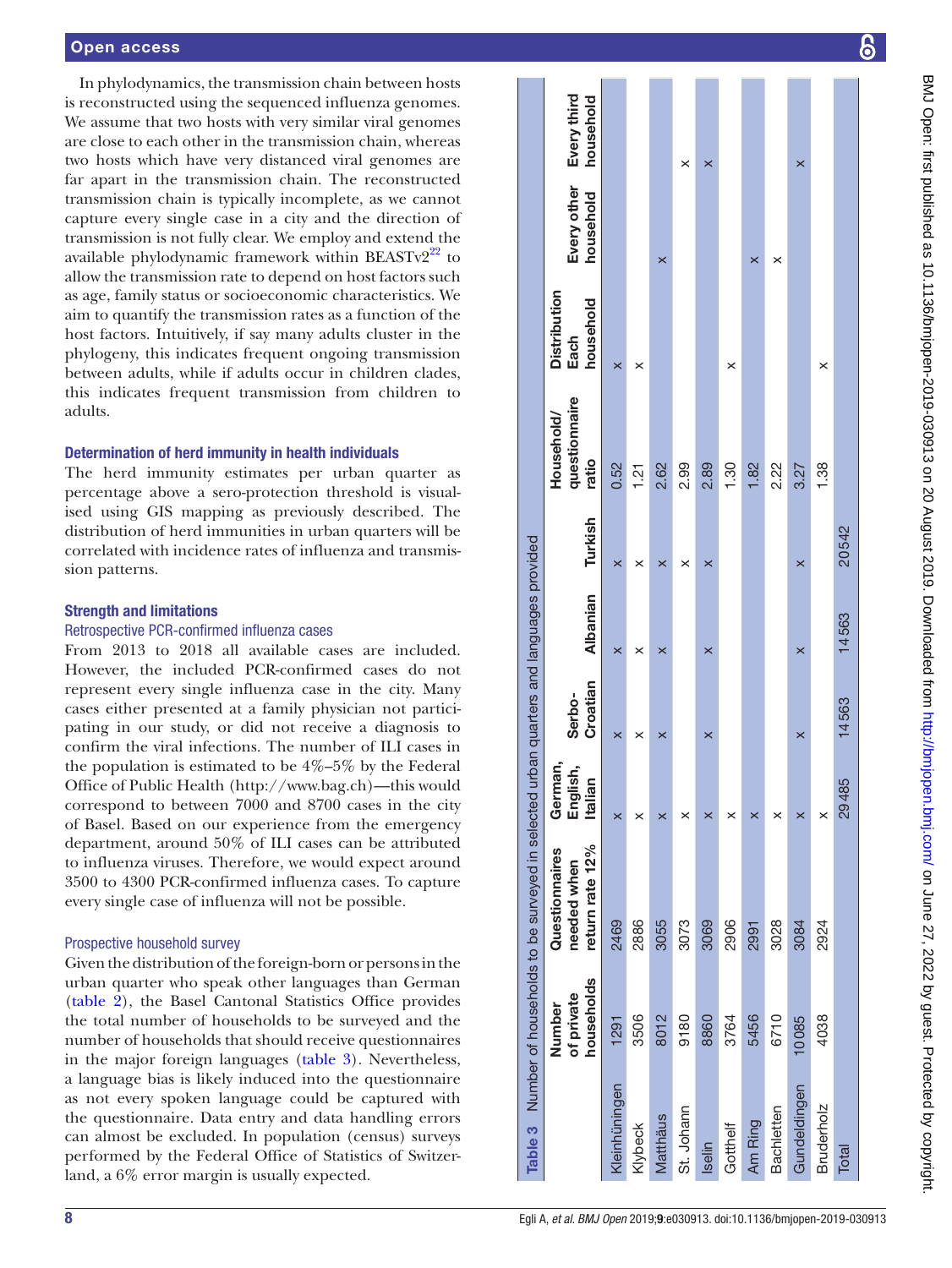#### Open access

In phylodynamics, the transmission chain between hosts is reconstructed using the sequenced influenza genomes. We assume that two hosts with very similar viral genomes are close to each other in the transmission chain, whereas two hosts which have very distanced viral genomes are far apart in the transmission chain. The reconstructed transmission chain is typically incomplete, as we cannot capture every single case in a city and the direction of transmission is not fully clear. We employ and extend the available phylodynamic framework within  $BEASTv2<sup>22</sup>$  to allow the transmission rate to depend on host factors such as age, family status or socioeconomic characteristics. We aim to quantify the transmission rates as a function of the host factors. Intuitively, if say many adults cluster in the phylogeny, this indicates frequent ongoing transmission between adults, while if adults occur in children clades, this indicates frequent transmission from children to adults.

#### Determination of herd immunity in health individuals

The herd immunity estimates per urban quarter as percentage above a sero-protection threshold is visual ised using GIS mapping as previously described. The distribution of herd immunities in urban quarters will be correlated with incidence rates of influenza and transmis sion patterns.

#### Strength and limitations

#### Retrospective PCR-confirmed influenza cases

From 2013 to 2018 all available cases are included. However, the included PCR-confirmed cases do not represent every single influenza case in the city. Many cases either presented at a family physician not partici pating in our study, or did not receive a diagnosis to confirm the viral infections. The number of ILI cases in the population is estimated to be 4%–5% by the Federal Office of Public Health [\(http://www.bag.ch\)](http://www.bag.ch)—this would correspond to between 7000 and 8700 cases in the city of Basel. Based on our experience from the emergency department, around 50% of ILI cases can be attributed to influenza viruses. Therefore, we would expect around 3500 to 4300 PCR-confirmed influenza cases. To capture every single case of influenza will not be possible.

#### Prospective household survey

<span id="page-7-0"></span>Given the distribution of the foreign-born or persons in the urban quarter who speak other languages than German ([table](#page-5-0) 2), the Basel Cantonal Statistics Office provides the total number of households to be surveyed and the number of households that should receive questionnaires in the major foreign languages ([table](#page-7-0) 3). Nevertheless, a language bias is likely induced into the questionnaire as not every spoken language could be captured with the questionnaire. Data entry and data handling errors can almost be excluded. In population (census) surveys performed by the Federal Office of Statistics of Switzerland, a 6% error margin is usually expected.

|                                                                                               | Every third<br>household                         |               |         |          | ×          | $\times$ |          |         |            | $\times$     |                   |              |
|-----------------------------------------------------------------------------------------------|--------------------------------------------------|---------------|---------|----------|------------|----------|----------|---------|------------|--------------|-------------------|--------------|
|                                                                                               | Every other<br>household                         |               |         | ×        |            |          |          | ×       | ×          |              |                   |              |
|                                                                                               | <b>Distribution</b><br>household<br>Each         | $\times$      | ×       |          |            |          | ×        |         |            |              | ×                 |              |
|                                                                                               | questionnaire<br>Household/<br>ratio             | 0.52          | 1.21    | 2.62     | 2.99       | 2.89     | 1.30     | 1.82    | 2.22       | 3.27         | 1.38              |              |
|                                                                                               | Turkish                                          | $\times$      | ×       | ×        | ×          | ×        |          |         |            | $\times$     |                   | 20542        |
|                                                                                               | <b>Albanian</b>                                  | $\times$      | ×       | ×        |            | $\times$ |          |         |            | $\times$     |                   | 14563        |
|                                                                                               | Croatian<br>Serbo-                               | $\times$      | ×       | ×        |            | ×        |          |         |            | ×            |                   | 14563        |
|                                                                                               | German,<br>English,<br>Italian                   |               |         |          |            |          |          |         |            |              | ×                 | 29485        |
| Table 3 Number of households to be surveyed in selected urban quarters and languages provided | return rate 12%<br>Questionnaires<br>needed when | 2469          | 2886    | 3055     | 3073       | 3069     | 2906     | 2991    | 3028       | 3084         | 2924              |              |
|                                                                                               | households<br>of private<br>Number               | 1291          | 3506    | 8012     | 9180       | 8860     | 3764     | 5456    | 6710       | 10085        | 4038              |              |
|                                                                                               |                                                  | Kleinhüningen | Klybeck | Matthäus | St. Johann | Iselin   | Gotthelf | Am Ring | Bachletten | Gundeldingen | <b>Bruderholz</b> | <b>Total</b> |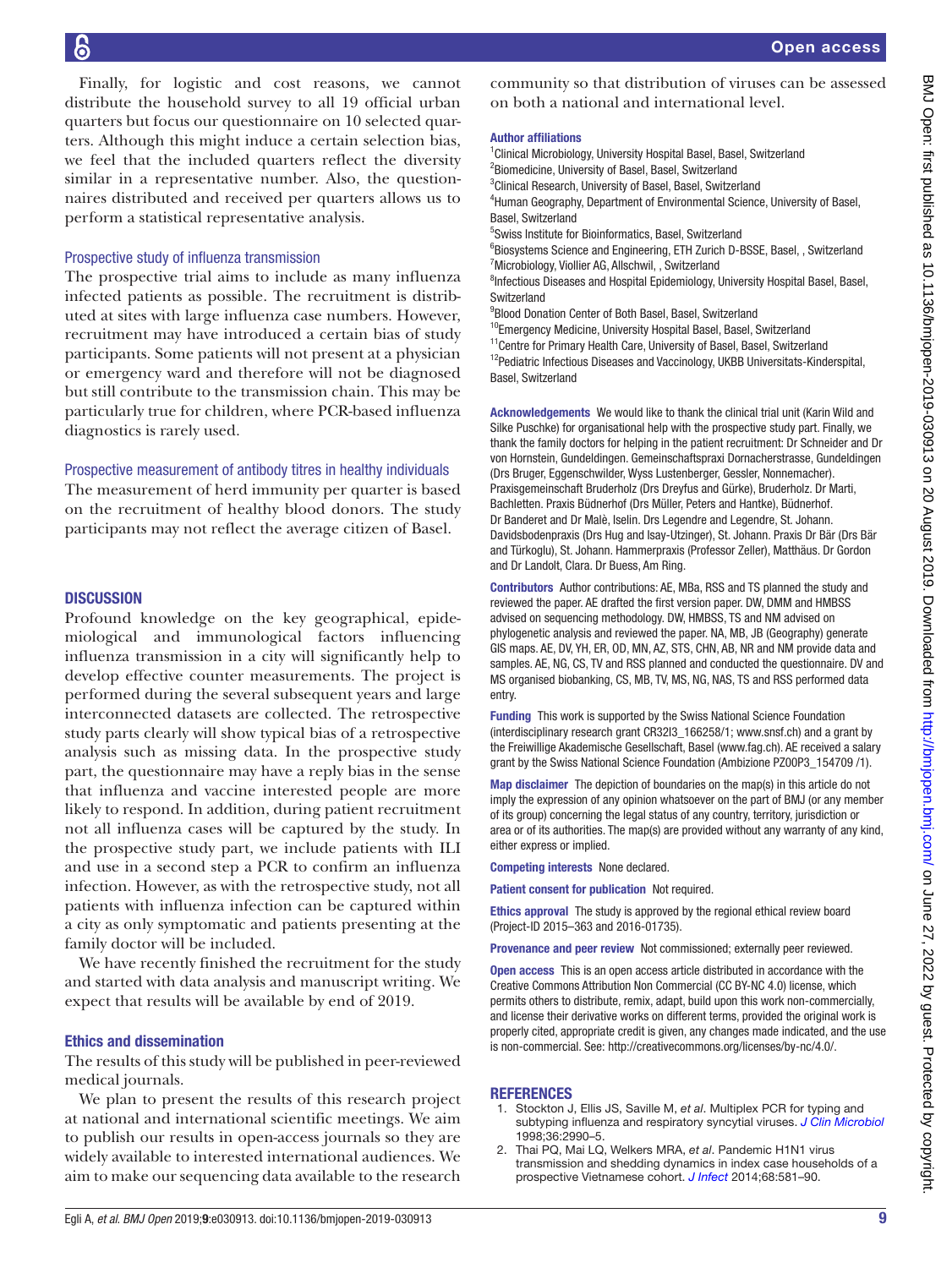Finally, for logistic and cost reasons, we cannot distribute the household survey to all 19 official urban quarters but focus our questionnaire on 10 selected quarters. Although this might induce a certain selection bias, we feel that the included quarters reflect the diversity similar in a representative number. Also, the questionnaires distributed and received per quarters allows us to perform a statistical representative analysis.

#### Prospective study of influenza transmission

The prospective trial aims to include as many influenza infected patients as possible. The recruitment is distributed at sites with large influenza case numbers. However, recruitment may have introduced a certain bias of study participants. Some patients will not present at a physician or emergency ward and therefore will not be diagnosed but still contribute to the transmission chain. This may be particularly true for children, where PCR-based influenza diagnostics is rarely used.

#### Prospective measurement of antibody titres in healthy individuals

The measurement of herd immunity per quarter is based on the recruitment of healthy blood donors. The study participants may not reflect the average citizen of Basel.

#### **DISCUSSION**

Profound knowledge on the key geographical, epidemiological and immunological factors influencing influenza transmission in a city will significantly help to develop effective counter measurements. The project is performed during the several subsequent years and large interconnected datasets are collected. The retrospective study parts clearly will show typical bias of a retrospective analysis such as missing data. In the prospective study part, the questionnaire may have a reply bias in the sense that influenza and vaccine interested people are more likely to respond. In addition, during patient recruitment not all influenza cases will be captured by the study. In the prospective study part, we include patients with ILI and use in a second step a PCR to confirm an influenza infection. However, as with the retrospective study, not all patients with influenza infection can be captured within a city as only symptomatic and patients presenting at the family doctor will be included.

We have recently finished the recruitment for the study and started with data analysis and manuscript writing. We expect that results will be available by end of 2019.

#### Ethics and dissemination

The results of this study will be published in peer-reviewed medical journals.

We plan to present the results of this research project at national and international scientific meetings. We aim to publish our results in open-access journals so they are widely available to interested international audiences. We aim to make our sequencing data available to the research

community so that distribution of viruses can be assessed on both a national and international level.

#### Author affiliations

<sup>1</sup> Clinical Microbiology, University Hospital Basel, Basel, Switzerland <sup>2</sup> Biomedicine, University of Basel, Basel, Switzerland <sup>3</sup>Clinical Research, University of Basel, Basel, Switzerland 4 Human Geography, Department of Environmental Science, University of Basel, Basel, Switzerland 5 Swiss Institute for Bioinformatics, Basel, Switzerland <sup>6</sup>Biosystems Science and Engineering, ETH Zurich D-BSSE, Basel, , Switzerland <sup>7</sup> Microbiology, Viollier AG, Allschwil, , Switzerland

<sup>8</sup>Infectious Diseases and Hospital Epidemiology, University Hospital Basel, Basel, **Switzerland** 

<sup>9</sup>Blood Donation Center of Both Basel, Basel, Switzerland

<sup>10</sup>Emergency Medicine, University Hospital Basel, Basel, Switzerland <sup>11</sup>Centre for Primary Health Care, University of Basel, Basel, Switzerland  $12$ Pediatric Infectious Diseases and Vaccinology, UKBB Universitats-Kinderspital, Basel, Switzerland

Acknowledgements We would like to thank the clinical trial unit (Karin Wild and Silke Puschke) for organisational help with the prospective study part. Finally, we thank the family doctors for helping in the patient recruitment: Dr Schneider and Dr von Hornstein, Gundeldingen. Gemeinschaftspraxi Dornacherstrasse, Gundeldingen (Drs Bruger, Eggenschwilder, Wyss Lustenberger, Gessler, Nonnemacher). Praxisgemeinschaft Bruderholz (Drs Dreyfus and Gürke), Bruderholz. Dr Marti, Bachletten. Praxis Büdnerhof (Drs Müller, Peters and Hantke), Büdnerhof. Dr Banderet and Dr Malè, Iselin. Drs Legendre and Legendre, St. Johann. Davidsbodenpraxis (Drs Hug and Isay-Utzinger), St. Johann. Praxis Dr Bär (Drs Bär and Türkoglu), St. Johann. Hammerpraxis (Professor Zeller), Matthäus. Dr Gordon and Dr Landolt, Clara. Dr Buess, Am Ring.

Contributors Author contributions: AE, MBa, RSS and TS planned the study and reviewed the paper. AE drafted the first version paper. DW, DMM and HMBSS advised on sequencing methodology. DW, HMBSS, TS and NM advised on phylogenetic analysis and reviewed the paper. NA, MB, JB (Geography) generate GIS maps. AE, DV, YH, ER, OD, MN, AZ, STS, CHN, AB, NR and NM provide data and samples. AE, NG, CS, TV and RSS planned and conducted the questionnaire. DV and MS organised biobanking, CS, MB, TV, MS, NG, NAS, TS and RSS performed data entry.

Funding This work is supported by the Swiss National Science Foundation (interdisciplinary research grant CR32I3\_166258/1; www.snsf.ch) and a grant by the Freiwillige Akademische Gesellschaft, Basel (www.fag.ch). AE received a salary grant by the Swiss National Science Foundation (Ambizione PZ00P3\_154709 /1).

Map disclaimer The depiction of boundaries on the map(s) in this article do not imply the expression of any opinion whatsoever on the part of BMJ (or any member of its group) concerning the legal status of any country, territory, jurisdiction or area or of its authorities. The map(s) are provided without any warranty of any kind, either express or implied.

Competing interests None declared.

Patient consent for publication Not required.

Ethics approval The study is approved by the regional ethical review board (Project-ID 2015–363 and 2016-01735).

Provenance and peer review Not commissioned; externally peer reviewed.

Open access This is an open access article distributed in accordance with the Creative Commons Attribution Non Commercial (CC BY-NC 4.0) license, which permits others to distribute, remix, adapt, build upon this work non-commercially, and license their derivative works on different terms, provided the original work is properly cited, appropriate credit is given, any changes made indicated, and the use is non-commercial. See: [http://creativecommons.org/licenses/by-nc/4.0/.](http://creativecommons.org/licenses/by-nc/4.0/)

#### **REFERENCES**

- <span id="page-8-0"></span>1. Stockton J, Ellis JS, Saville M, *et al*. Multiplex PCR for typing and subtyping influenza and respiratory syncytial viruses. *[J Clin Microbiol](http://www.ncbi.nlm.nih.gov/pubmed/9738055)* 1998;36:2990–5.
- 2. Thai PQ, Mai LQ, Welkers MRA, *et al*. Pandemic H1N1 virus transmission and shedding dynamics in index case households of a prospective Vietnamese cohort. *[J Infect](http://dx.doi.org/10.1016/j.jinf.2014.01.008)* 2014;68:581–90.